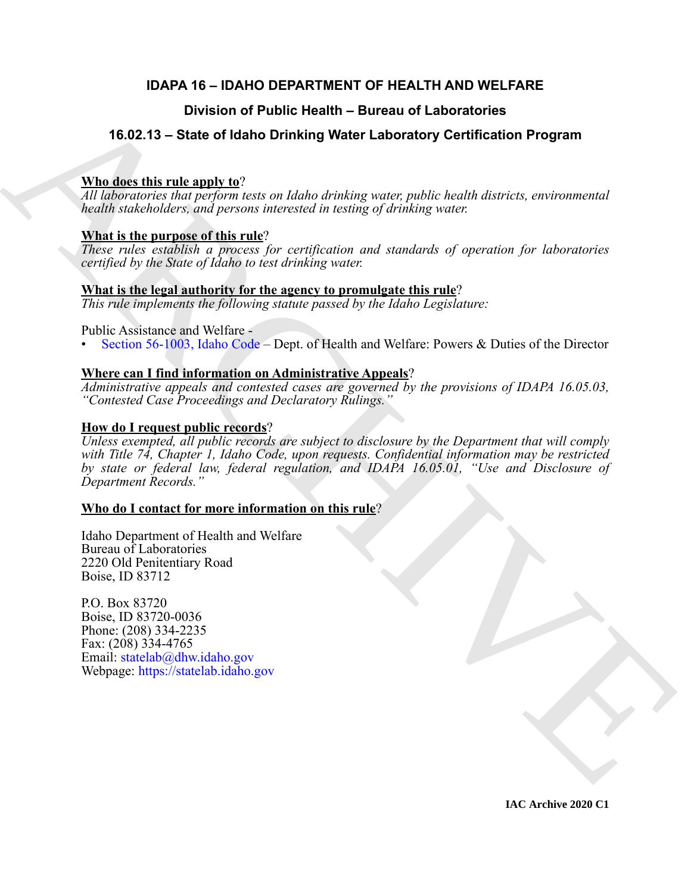### **IDAPA 16 – IDAHO DEPARTMENT OF HEALTH AND WELFARE**

### **Division of Public Health – Bureau of Laboratories**

### **16.02.13 – State of Idaho Drinking Water Laboratory Certification Program**

#### **Who does this rule apply to**?

*All laboratories that perform tests on Idaho drinking water, public health districts, environmental health stakeholders, and persons interested in testing of drinking water.*

#### **What is the purpose of this rule**?

*These rules establish a process for certification and standards of operation for laboratories certified by the State of Idaho to test drinking water.*

#### **What is the legal authority for the agency to promulgate this rule**?

*This rule implements the following statute passed by the Idaho Legislature:*

#### Public Assistance and Welfare -

• Section 56-1003, Idaho Code – Dept. of Health and Welfare: Powers & Duties of the Director

#### **Where can I find information on Administrative Appeals**?

*Administrative appeals and contested cases are governed by the provisions of IDAPA 16.05.03, "Contested Case Proceedings and Declaratory Rulings."*

#### **How do I request public records**?

**Division of Public Health – Bureau of Laboratories**<br> **A[RC](https://legislature.idaho.gov/statutesrules/idstat/Title56/T56CH10/SECT56-1003/)HI[VE](mailto: statelab@dhw.idaho.gov) State of Idaho Drinking Water Laboratory Certification Program**<br> **ARCHIVE and Constrained ARCHIVE State of the constrained and constrained and constrained and** *Unless exempted, all public records are subject to disclosure by the Department that will comply with Title 74, Chapter 1, Idaho Code, upon requests. Confidential information may be restricted by state or federal law, federal regulation, and IDAPA 16.05.01, "Use and Disclosure of Department Records."*

### **Who do I contact for more information on this rule**?

Idaho Department of Health and Welfare Bureau of Laboratories 2220 Old Penitentiary Road Boise, ID 83712

P.O. Box 83720 Boise, ID 83720-0036 Phone: (208) 334-2235 Fax: (208) 334-4765 Email: statelab@dhw.idaho.gov Webpage: https://statelab.idaho.gov

**IAC Archive 2020 C1**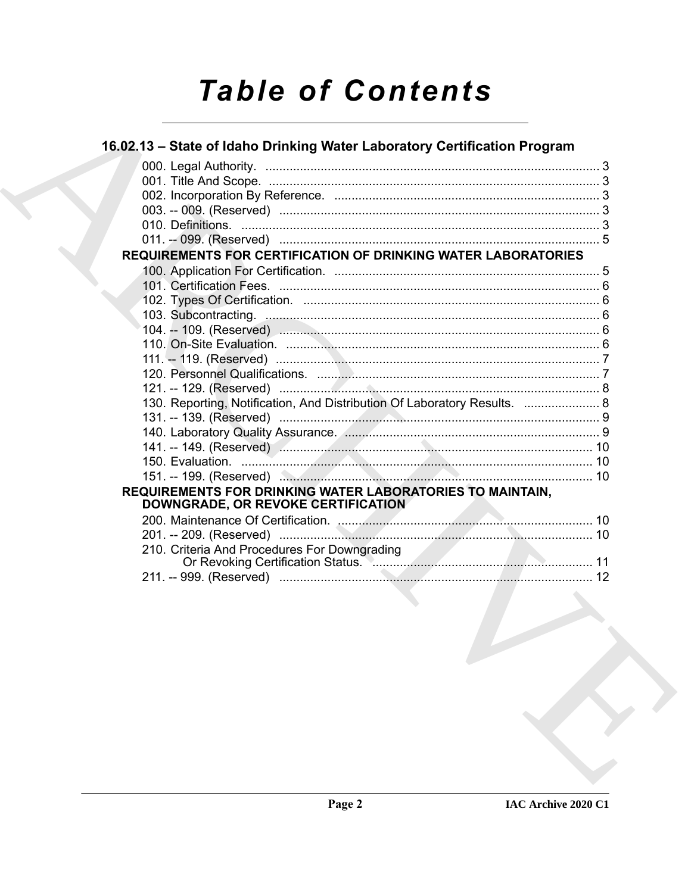# **Table of Contents**

| 16.02.13 – State of Idaho Drinking Water Laboratory Certification Program                       |  |
|-------------------------------------------------------------------------------------------------|--|
|                                                                                                 |  |
|                                                                                                 |  |
|                                                                                                 |  |
|                                                                                                 |  |
|                                                                                                 |  |
|                                                                                                 |  |
| <b>REQUIREMENTS FOR CERTIFICATION OF DRINKING WATER LABORATORIES</b>                            |  |
|                                                                                                 |  |
|                                                                                                 |  |
|                                                                                                 |  |
|                                                                                                 |  |
|                                                                                                 |  |
|                                                                                                 |  |
|                                                                                                 |  |
|                                                                                                 |  |
|                                                                                                 |  |
| 130. Reporting, Notification, And Distribution Of Laboratory Results.  8                        |  |
|                                                                                                 |  |
|                                                                                                 |  |
|                                                                                                 |  |
|                                                                                                 |  |
|                                                                                                 |  |
| REQUIREMENTS FOR DRINKING WATER LABORATORIES TO MAINTAIN,<br>DOWNGRADE, OR REVOKE CERTIFICATION |  |
|                                                                                                 |  |
|                                                                                                 |  |
| 210. Criteria And Procedures For Downgrading                                                    |  |
|                                                                                                 |  |
| the contract of the contract of the contract of the contract of the contract of                 |  |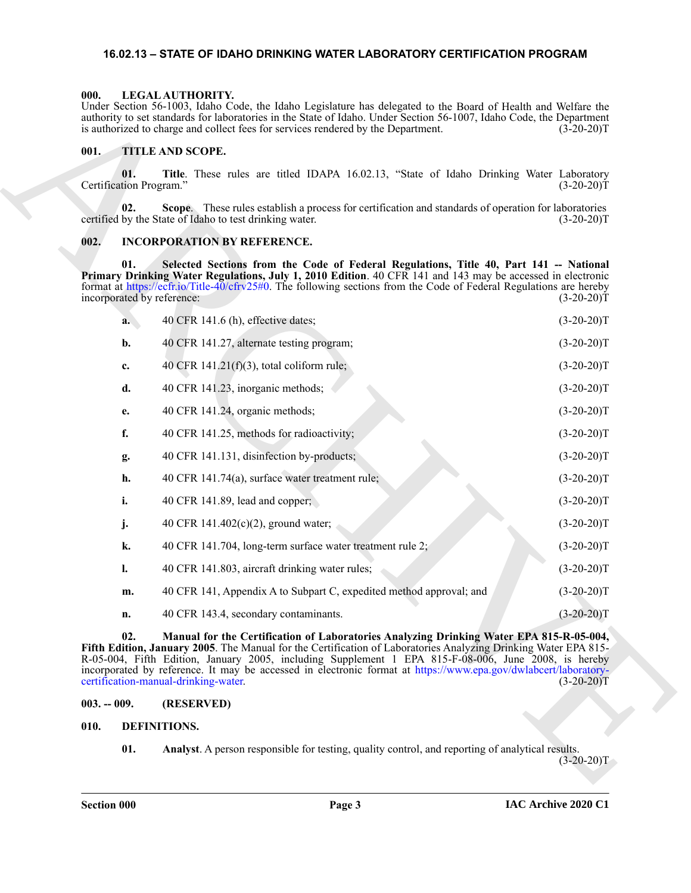#### <span id="page-2-9"></span><span id="page-2-0"></span>**16.02.13 – STATE OF IDAHO DRINKING WATER LABORATORY CERTIFICATION PROGRAM**

#### <span id="page-2-1"></span>**000. LEGAL AUTHORITY.**

#### <span id="page-2-10"></span><span id="page-2-2"></span>**001. TITLE AND SCOPE.**

#### <span id="page-2-8"></span><span id="page-2-3"></span>**002. INCORPORATION BY REFERENCE.**

|               |                                   | Under Section 56-1003, Idaho Code, the Idaho Legislature has delegated to the Board of Health and Welfare the<br>authority to set standards for laboratories in the State of Idaho. Under Section 56-1007, Idaho Code, the Department<br>is authorized to charge and collect fees for services rendered by the Department.                                                                                                                                                    | $(3-20-20)T$ |
|---------------|-----------------------------------|-------------------------------------------------------------------------------------------------------------------------------------------------------------------------------------------------------------------------------------------------------------------------------------------------------------------------------------------------------------------------------------------------------------------------------------------------------------------------------|--------------|
| 001.          |                                   | TITLE AND SCOPE.                                                                                                                                                                                                                                                                                                                                                                                                                                                              |              |
|               | 01.<br>Certification Program."    | Title. These rules are titled IDAPA 16.02.13, "State of Idaho Drinking Water Laboratory                                                                                                                                                                                                                                                                                                                                                                                       | $(3-20-20)T$ |
|               | 02.                               | Scope. These rules establish a process for certification and standards of operation for laboratories<br>certified by the State of Idaho to test drinking water.                                                                                                                                                                                                                                                                                                               | $(3-20-20)T$ |
| 002.          |                                   | <b>INCORPORATION BY REFERENCE.</b>                                                                                                                                                                                                                                                                                                                                                                                                                                            |              |
|               | 01.<br>incorporated by reference: | Selected Sections from the Code of Federal Regulations, Title 40, Part 141 -- National<br>Primary Drinking Water Regulations, July 1, 2010 Edition. 40 CFR 141 and 143 may be accessed in electronic<br>format at https://ecfr.io/Title-40/cfrv25#0. The following sections from the Code of Federal Regulations are hereby                                                                                                                                                   | $(3-20-20)T$ |
|               | a.                                | 40 CFR 141.6 (h), effective dates;                                                                                                                                                                                                                                                                                                                                                                                                                                            | $(3-20-20)T$ |
|               | b.                                | 40 CFR 141.27, alternate testing program;                                                                                                                                                                                                                                                                                                                                                                                                                                     | $(3-20-20)T$ |
|               | c.                                | 40 CFR $141.21(f)(3)$ , total coliform rule;                                                                                                                                                                                                                                                                                                                                                                                                                                  | $(3-20-20)T$ |
|               | d.                                | 40 CFR 141.23, inorganic methods;                                                                                                                                                                                                                                                                                                                                                                                                                                             | $(3-20-20)T$ |
|               | е.                                | 40 CFR 141.24, organic methods;                                                                                                                                                                                                                                                                                                                                                                                                                                               | $(3-20-20)T$ |
|               | f.                                | 40 CFR 141.25, methods for radioactivity;                                                                                                                                                                                                                                                                                                                                                                                                                                     | $(3-20-20)T$ |
|               | g.                                | 40 CFR 141.131, disinfection by-products;                                                                                                                                                                                                                                                                                                                                                                                                                                     | $(3-20-20)T$ |
|               | h.                                | 40 CFR 141.74(a), surface water treatment rule;                                                                                                                                                                                                                                                                                                                                                                                                                               | $(3-20-20)T$ |
|               | i.                                | 40 CFR 141.89, lead and copper;                                                                                                                                                                                                                                                                                                                                                                                                                                               | $(3-20-20)T$ |
|               | j.                                | 40 CFR 141.402(c)(2), ground water;                                                                                                                                                                                                                                                                                                                                                                                                                                           | $(3-20-20)T$ |
|               | k.                                | 40 CFR 141.704, long-term surface water treatment rule 2;                                                                                                                                                                                                                                                                                                                                                                                                                     | $(3-20-20)T$ |
|               | l.                                | 40 CFR 141.803, aircraft drinking water rules;                                                                                                                                                                                                                                                                                                                                                                                                                                | $(3-20-20)T$ |
|               | m.                                | 40 CFR 141, Appendix A to Subpart C, expedited method approval; and                                                                                                                                                                                                                                                                                                                                                                                                           | $(3-20-20)T$ |
|               | n.                                | 40 CFR 143.4, secondary contaminants.                                                                                                                                                                                                                                                                                                                                                                                                                                         | $(3-20-20)T$ |
|               | 02.                               | Manual for the Certification of Laboratories Analyzing Drinking Water EPA 815-R-05-004,<br>Fifth Edition, January 2005. The Manual for the Certification of Laboratories Analyzing Drinking Water EPA 815-<br>R-05-004, Fifth Edition, January 2005, including Supplement 1 EPA 815-F-08-006, June 2008, is hereby<br>incorporated by reference. It may be accessed in electronic format at https://www.epa.gov/dwlabcert/laboratory-<br>certification-manual-drinking-water. | $(3-20-20)T$ |
| $003. - 009.$ |                                   | (RESERVED)                                                                                                                                                                                                                                                                                                                                                                                                                                                                    |              |
| 010.          | DEFINITIONS.                      |                                                                                                                                                                                                                                                                                                                                                                                                                                                                               |              |
|               | 01.                               | Analyst. A person responsible for testing, quality control, and reporting of analytical results.                                                                                                                                                                                                                                                                                                                                                                              | $(3-20-20)T$ |
|               |                                   |                                                                                                                                                                                                                                                                                                                                                                                                                                                                               |              |

#### <span id="page-2-4"></span>**003. -- 009. (RESERVED)**

#### <span id="page-2-7"></span><span id="page-2-6"></span><span id="page-2-5"></span>**010. DEFINITIONS.**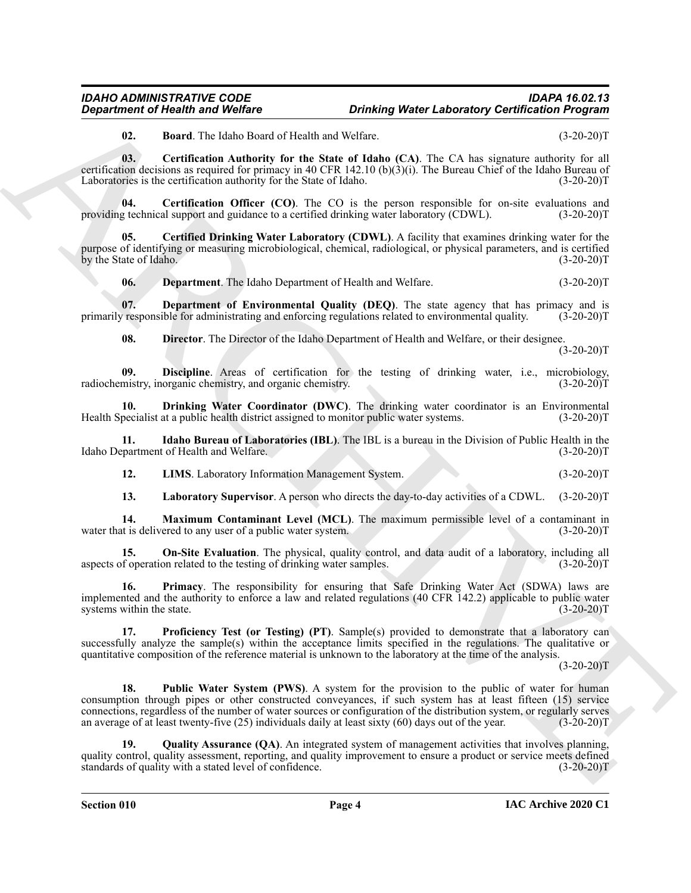#### *IDAHO ADMINISTRATIVE CODE IDAPA 16.02.13 Drinking Water Laboratory Certification Program*

<span id="page-3-2"></span><span id="page-3-1"></span><span id="page-3-0"></span>**02. Board**. The Idaho Board of Health and Welfare. (3-20-20)T

**03. Certification Authority for the State of Idaho (CA)**. The CA has signature authority for all certification decisions as required for primacy in 40 CFR 142.10 (b)(3)(i). The Bureau Chief of the Idaho Bureau of Laboratories is the certification authority for the State of Idaho. (3-20-20)T

**04.** Certification Officer (CO). The CO is the person responsible for on-site evaluations and g technical support and guidance to a certified drinking water laboratory (CDWL). (3-20-20)T providing technical support and guidance to a certified drinking water laboratory (CDWL).

**05. Certified Drinking Water Laboratory (CDWL)**. A facility that examines drinking water for the purpose of identifying or measuring microbiological, chemical, radiological, or physical parameters, and is certified by the State of Idaho. (3-20-20)T

<span id="page-3-5"></span><span id="page-3-4"></span><span id="page-3-3"></span>**06. Department**. The Idaho Department of Health and Welfare. (3-20-20)T

**07.** Department of Environmental Quality (DEQ). The state agency that has primacy and is responsible for administrating and enforcing regulations related to environmental quality. (3-20-20)T primarily responsible for administrating and enforcing regulations related to environmental quality.

<span id="page-3-8"></span><span id="page-3-7"></span><span id="page-3-6"></span>**08. Director**. The Director of the Idaho Department of Health and Welfare, or their designee.  $(3-20-20)T$ 

**09. Discipline**. Areas of certification for the testing of drinking water, i.e., microbiology, mistry, inorganic chemistry, and organic chemistry. (3-20-20)<sup>T</sup> radiochemistry, inorganic chemistry, and organic chemistry.

**10. Drinking Water Coordinator (DWC)**. The drinking water coordinator is an Environmental pecialist at a public health district assigned to monitor public water systems. (3-20-20) Health Specialist at a public health district assigned to monitor public water systems.

**11.** Idaho Bureau of Laboratories (IBL). The IBL is a bureau in the Division of Public Health in the partment of Health and Welfare. (3-20-20)T Idaho Department of Health and Welfare.

<span id="page-3-11"></span><span id="page-3-9"></span>**12. LIMS**. Laboratory Information Management System. (3-20-20)T

<span id="page-3-13"></span><span id="page-3-12"></span><span id="page-3-10"></span>**13. Laboratory Supervisor**. A person who directs the day-to-day activities of a CDWL. (3-20-20)T

**14. Maximum Contaminant Level (MCL)**. The maximum permissible level of a contaminant in water that is delivered to any user of a public water system. (3-20-20)T

**15. On-Site Evaluation**. The physical, quality control, and data audit of a laboratory, including all aspects of operation related to the testing of drinking water samples. (3-20-20)T

<span id="page-3-14"></span>**16. Primacy**. The responsibility for ensuring that Safe Drinking Water Act (SDWA) laws are implemented and the authority to enforce a law and related regulations (40 CFR 142.2) applicable to public water systems within the state. (3-20-20)T

<span id="page-3-16"></span><span id="page-3-15"></span>**17. Proficiency Test (or Testing) (PT)**. Sample(s) provided to demonstrate that a laboratory can successfully analyze the sample(s) within the acceptance limits specified in the regulations. The qualitative or quantitative composition of the reference material is unknown to the laboratory at the time of the analysis.

 $(3-20-20)T$ 

**Expansion of Newtrine Priori Boston Control Control Control Control Control Control Control Control Control Control Control Control Control Control Control Control Control Control Control Control Control Control Control 18.** Public Water System (PWS). A system for the provision to the public of water for human consumption through pipes or other constructed conveyances, if such system has at least fifteen (15) service connections, regardless of the number of water sources or configuration of the distribution system, or regularly serves an average of at least twenty-five (25) individuals daily at least sixty (60) days out of the year. (3-20-20)T

<span id="page-3-17"></span>**19.** Quality Assurance (QA). An integrated system of management activities that involves planning, quality control, quality assessment, reporting, and quality improvement to ensure a product or service meets defined standards of quality with a stated level of confidence. (3-20-20)T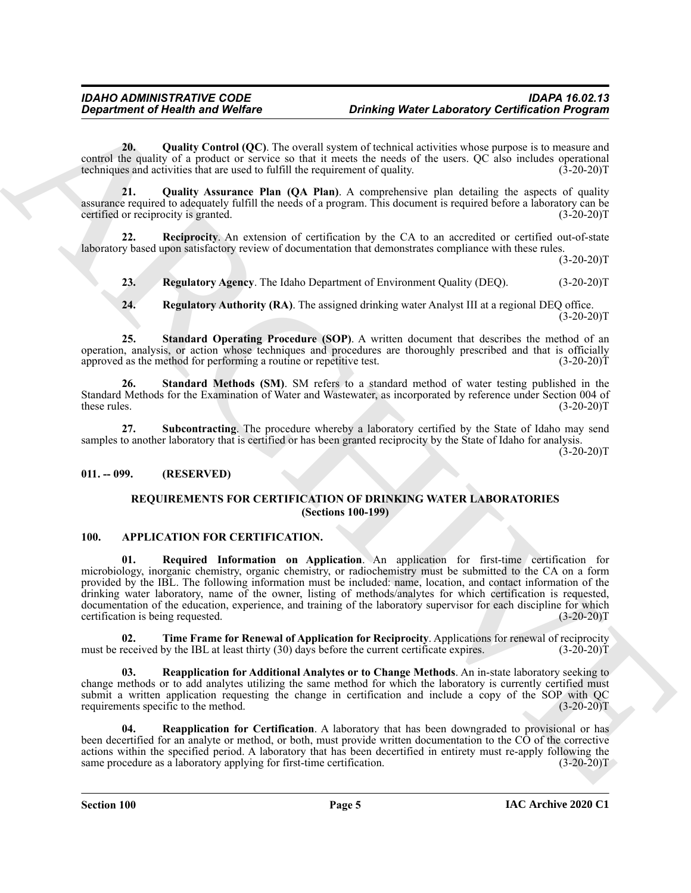<span id="page-4-9"></span>**20. Quality Control (QC)**. The overall system of technical activities whose purpose is to measure and control the quality of a product or service so that it meets the needs of the users. QC also includes operational techniques and activities that are used to fulfill the requirement of quality. (3-20-20) techniques and activities that are used to fulfill the requirement of quality.

<span id="page-4-8"></span>**21. Quality Assurance Plan (QA Plan)**. A comprehensive plan detailing the aspects of quality assurance required to adequately fulfill the needs of a program. This document is required before a laboratory can be certified or reciprocity is granted. (3-20-20)T

**22. Reciprocity**. An extension of certification by the CA to an accredited or certified out-of-state laboratory based upon satisfactory review of documentation that demonstrates compliance with these rules.

 $(3-20-20)T$ 

<span id="page-4-11"></span><span id="page-4-10"></span>**23. Regulatory Agency**. The Idaho Department of Environment Quality (DEQ). (3-20-20)T

<span id="page-4-15"></span><span id="page-4-13"></span><span id="page-4-12"></span>**24. Regulatory Authority (RA)**. The assigned drinking water Analyst III at a regional DEQ office.  $(3-20-20)T$ 

**25. Standard Operating Procedure (SOP)**. A written document that describes the method of an operation, analysis, or action whose techniques and procedures are thoroughly prescribed and that is officially approved as the method for performing a routine or repetitive test. (3-20-20)T

**26. Standard Methods (SM)**. SM refers to a standard method of water testing published in the Standard Methods for the Examination of Water and Wastewater, as incorporated by reference under Section 004 of these rules. (3-20-20)T these rules. (3-20-20)T

<span id="page-4-14"></span>**27. Subcontracting**. The procedure whereby a laboratory certified by the State of Idaho may send samples to another laboratory that is certified or has been granted reciprocity by the State of Idaho for analysis.

 $(3-20-20)$ T

#### <span id="page-4-1"></span><span id="page-4-0"></span>**011. -- 099. (RESERVED)**

#### <span id="page-4-16"></span><span id="page-4-5"></span><span id="page-4-3"></span>**REQUIREMENTS FOR CERTIFICATION OF DRINKING WATER LABORATORIES (Sections 100-199)**

#### <span id="page-4-2"></span>**100. APPLICATION FOR CERTIFICATION.**

*Department of Nearly Webster Driving Webster Laboratory Coeffication Properties***<br>
2001 <b>2001**<br>
2001 **2001 2002 2002 2002 2003 2003 2003 2003 2003 2003 2003 2003 2003 2003 2003 2003 2003 01. Required Information on Application**. An application for first-time certification for microbiology, inorganic chemistry, organic chemistry, or radiochemistry must be submitted to the CA on a form provided by the IBL. The following information must be included: name, location, and contact information of the drinking water laboratory, name of the owner, listing of methods/analytes for which certification is requested, documentation of the education, experience, and training of the laboratory supervisor for each discipline for which certification is being requested. (3-20-20) certification is being requested.

<span id="page-4-6"></span>**02. Time Frame for Renewal of Application for Reciprocity**. Applications for renewal of reciprocity received by the IBL at least thirty (30) days before the current certificate expires. (3-20-20)T must be received by the IBL at least thirty (30) days before the current certificate expires.

<span id="page-4-4"></span>**03. Reapplication for Additional Analytes or to Change Methods**. An in-state laboratory seeking to change methods or to add analytes utilizing the same method for which the laboratory is currently certified must submit a written application requesting the change in certification and include a copy of the SOP with QC requirements specific to the method. (3-20-20) requirements specific to the method.

<span id="page-4-7"></span>**04. Reapplication for Certification**. A laboratory that has been downgraded to provisional or has been decertified for an analyte or method, or both, must provide written documentation to the CO of the corrective actions within the specified period. A laboratory that has been decertified in entirety must re-apply following the same procedure as a laboratory applying for first-time certification. (3-20-20) same procedure as a laboratory applying for first-time certification.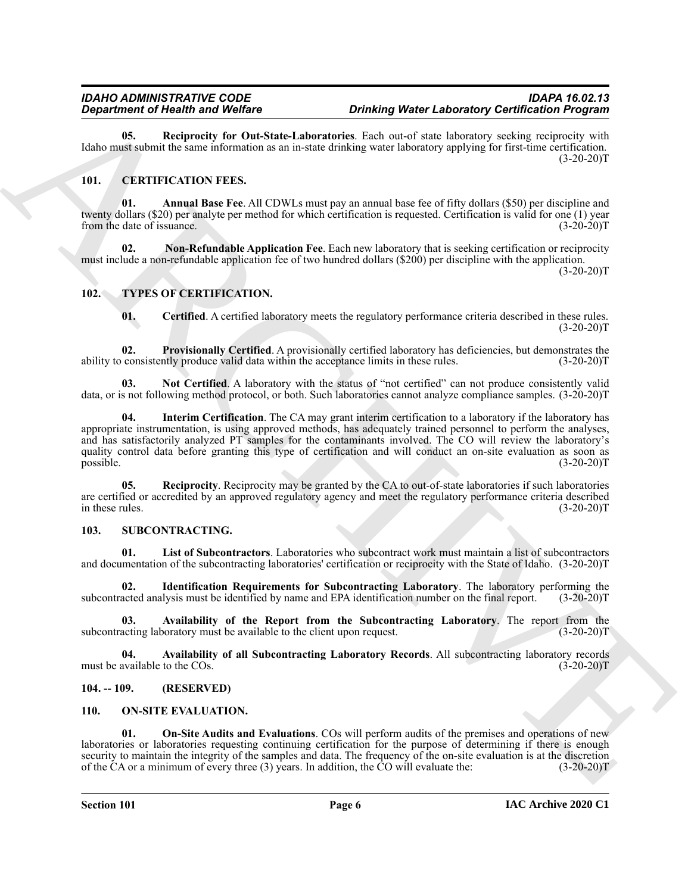<span id="page-5-5"></span>**05. Reciprocity for Out-State-Laboratories**. Each out-of state laboratory seeking reciprocity with Idaho must submit the same information as an in-state drinking water laboratory applying for first-time certification.  $(3-20-20)T$ 

#### <span id="page-5-6"></span><span id="page-5-0"></span>**101. CERTIFICATION FEES.**

<span id="page-5-7"></span>**01. Annual Base Fee**. All CDWLs must pay an annual base fee of fifty dollars (\$50) per discipline and twenty dollars (\$20) per analyte per method for which certification is requested. Certification is valid for one (1) year from the date of issuance. (3-20-20)T

<span id="page-5-8"></span>**02. Non-Refundable Application Fee**. Each new laboratory that is seeking certification or reciprocity must include a non-refundable application fee of two hundred dollars (\$200) per discipline with the application.  $(3-20-20)T$ 

#### <span id="page-5-1"></span>**102. TYPES OF CERTIFICATION.**

<span id="page-5-20"></span><span id="page-5-19"></span><span id="page-5-17"></span><span id="page-5-16"></span>**01. Certified**. A certified laboratory meets the regulatory performance criteria described in these rules.  $(3-20-20)T$ 

**02. Provisionally Certified**. A provisionally certified laboratory has deficiencies, but demonstrates the ability to consistently produce valid data within the acceptance limits in these rules. (3-20-20)T

<span id="page-5-18"></span>**03. Not Certified**. A laboratory with the status of "not certified" can not produce consistently valid data, or is not following method protocol, or both. Such laboratories cannot analyze compliance samples. (3-20-20)T

**Equivariant in the Worlds Contribute Contribute Controller (Contribute Controller Controller Controller Controller Controller Controller Controller Controller Controller Controller Controller Controller Controller Contro 04. Interim Certification**. The CA may grant interim certification to a laboratory if the laboratory has appropriate instrumentation, is using approved methods, has adequately trained personnel to perform the analyses, and has satisfactorily analyzed PT samples for the contaminants involved. The CO will review the laboratory's quality control data before granting this type of certification and will conduct an on-site evaluation as soon as possible. (3-20-20)T

<span id="page-5-21"></span>**05. Reciprocity**. Reciprocity may be granted by the CA to out-of-state laboratories if such laboratories are certified or accredited by an approved regulatory agency and meet the regulatory performance criteria described in these rules. (3-20-20)T

#### <span id="page-5-11"></span><span id="page-5-2"></span>**103. SUBCONTRACTING.**

<span id="page-5-15"></span>**01. List of Subcontractors**. Laboratories who subcontract work must maintain a list of subcontractors and documentation of the subcontracting laboratories' certification or reciprocity with the State of Idaho. (3-20-20)T

<span id="page-5-14"></span>**02. Identification Requirements for Subcontracting Laboratory**. The laboratory performing the subcontracted analysis must be identified by name and EPA identification number on the final report. (3-20-20)T

<span id="page-5-13"></span>**03.** Availability of the Report from the Subcontracting Laboratory. The report from the acting laboratory must be available to the client upon request. (3-20-20)T subcontracting laboratory must be available to the client upon request.

<span id="page-5-12"></span>**04. Availability of all Subcontracting Laboratory Records**. All subcontracting laboratory records must be available to the COs. (3-20-20)T

#### <span id="page-5-3"></span>**104. -- 109. (RESERVED)**

#### <span id="page-5-9"></span><span id="page-5-4"></span>**110. ON-SITE EVALUATION.**

<span id="page-5-10"></span>**01. On-Site Audits and Evaluations**. COs will perform audits of the premises and operations of new laboratories or laboratories requesting continuing certification for the purpose of determining if there is enough security to maintain the integrity of the samples and data. The frequency of the on-site evaluation is at the discretion of the CA or a minimum of every three (3) years. In addition, the CO will evaluate the: (3-20-20)T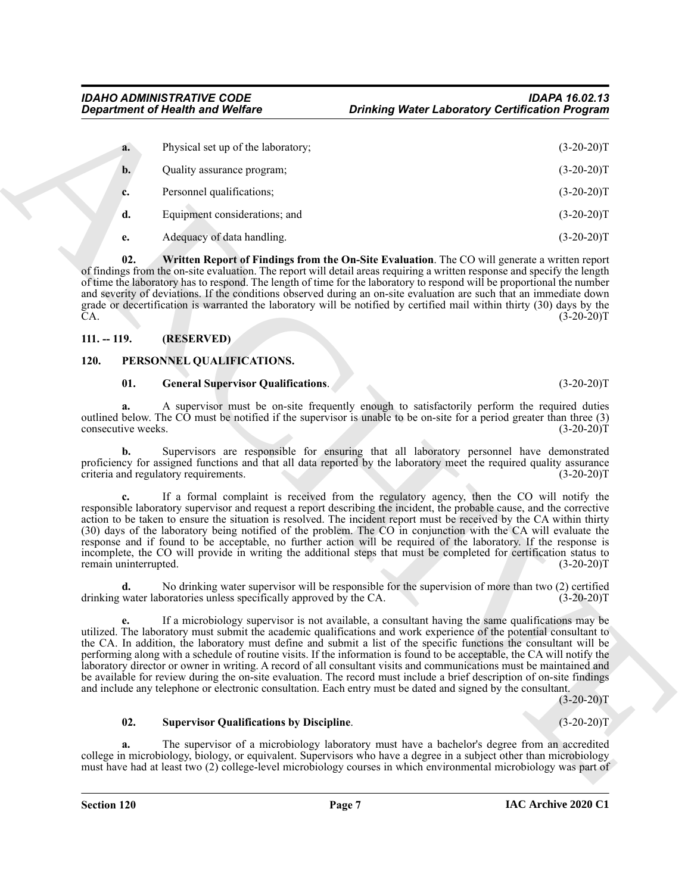| <b>Department of Health and Welfare</b> |                                                                                                              | <b>Drinking Water Laboratory Certification Program</b> |                                                                                                                                                                                                                                                                                                                                                                                                                                                                                                                                                                                                                                                                                                                                              |
|-----------------------------------------|--------------------------------------------------------------------------------------------------------------|--------------------------------------------------------|----------------------------------------------------------------------------------------------------------------------------------------------------------------------------------------------------------------------------------------------------------------------------------------------------------------------------------------------------------------------------------------------------------------------------------------------------------------------------------------------------------------------------------------------------------------------------------------------------------------------------------------------------------------------------------------------------------------------------------------------|
| a.                                      | Physical set up of the laboratory;                                                                           |                                                        | $(3-20-20)T$                                                                                                                                                                                                                                                                                                                                                                                                                                                                                                                                                                                                                                                                                                                                 |
| b.                                      | Quality assurance program;                                                                                   |                                                        | $(3-20-20)T$                                                                                                                                                                                                                                                                                                                                                                                                                                                                                                                                                                                                                                                                                                                                 |
| c.                                      | Personnel qualifications;                                                                                    |                                                        | $(3-20-20)T$                                                                                                                                                                                                                                                                                                                                                                                                                                                                                                                                                                                                                                                                                                                                 |
|                                         | Equipment considerations; and                                                                                |                                                        | $(3-20-20)T$                                                                                                                                                                                                                                                                                                                                                                                                                                                                                                                                                                                                                                                                                                                                 |
| d.                                      |                                                                                                              |                                                        |                                                                                                                                                                                                                                                                                                                                                                                                                                                                                                                                                                                                                                                                                                                                              |
| e.                                      | Adequacy of data handling.                                                                                   |                                                        | $(3-20-20)T$                                                                                                                                                                                                                                                                                                                                                                                                                                                                                                                                                                                                                                                                                                                                 |
| 02.<br>CA.                              |                                                                                                              |                                                        | Written Report of Findings from the On-Site Evaluation. The CO will generate a written report<br>of findings from the on-site evaluation. The report will detail areas requiring a written response and specify the length<br>of time the laboratory has to respond. The length of time for the laboratory to respond will be proportional the number<br>and severity of deviations. If the conditions observed during an on-site evaluation are such that an immediate down<br>grade or decertification is warranted the laboratory will be notified by certified mail within thirty (30) days by the<br>$(3-20-20)T$                                                                                                                       |
| $111. - 119.$                           | (RESERVED)                                                                                                   |                                                        |                                                                                                                                                                                                                                                                                                                                                                                                                                                                                                                                                                                                                                                                                                                                              |
| 120.<br>PERSONNEL QUALIFICATIONS.       |                                                                                                              |                                                        |                                                                                                                                                                                                                                                                                                                                                                                                                                                                                                                                                                                                                                                                                                                                              |
| 01.                                     | <b>General Supervisor Qualifications.</b>                                                                    |                                                        | $(3-20-20)T$                                                                                                                                                                                                                                                                                                                                                                                                                                                                                                                                                                                                                                                                                                                                 |
| consecutive weeks.                      |                                                                                                              |                                                        | A supervisor must be on-site frequently enough to satisfactorily perform the required duties<br>outlined below. The CO must be notified if the supervisor is unable to be on-site for a period greater than three (3)<br>$(3-20-20)T$                                                                                                                                                                                                                                                                                                                                                                                                                                                                                                        |
| b.                                      | criteria and regulatory requirements.                                                                        |                                                        | Supervisors are responsible for ensuring that all laboratory personnel have demonstrated<br>proficiency for assigned functions and that all data reported by the laboratory meet the required quality assurance<br>$(3-20-20)T$                                                                                                                                                                                                                                                                                                                                                                                                                                                                                                              |
| c.<br>remain uninterrupted.             |                                                                                                              |                                                        | If a formal complaint is received from the regulatory agency, then the CO will notify the<br>responsible laboratory supervisor and request a report describing the incident, the probable cause, and the corrective<br>action to be taken to ensure the situation is resolved. The incident report must be received by the CA within thirty<br>(30) days of the laboratory being notified of the problem. The CO in conjunction with the CA will evaluate the<br>response and if found to be acceptable, no further action will be required of the laboratory. If the response is<br>incomplete, the CO will provide in writing the additional steps that must be completed for certification status to<br>$(3-20-20)T$                      |
| d.                                      | drinking water laboratories unless specifically approved by the CA.                                          |                                                        | No drinking water supervisor will be responsible for the supervision of more than two (2) certified<br>$(3-20-20)T$                                                                                                                                                                                                                                                                                                                                                                                                                                                                                                                                                                                                                          |
| e.                                      | and include any telephone or electronic consultation. Each entry must be dated and signed by the consultant. |                                                        | If a microbiology supervisor is not available, a consultant having the same qualifications may be<br>utilized. The laboratory must submit the academic qualifications and work experience of the potential consultant to<br>the CA. In addition, the laboratory must define and submit a list of the specific functions the consultant will be<br>performing along with a schedule of routine visits. If the information is found to be acceptable, the CA will notify the<br>laboratory director or owner in writing. A record of all consultant visits and communications must be maintained and<br>be available for review during the on-site evaluation. The record must include a brief description of on-site findings<br>$(3-20-20)T$ |
|                                         |                                                                                                              |                                                        |                                                                                                                                                                                                                                                                                                                                                                                                                                                                                                                                                                                                                                                                                                                                              |
| 02.                                     | <b>Supervisor Qualifications by Discipline.</b>                                                              |                                                        | $(3-20-20)T$                                                                                                                                                                                                                                                                                                                                                                                                                                                                                                                                                                                                                                                                                                                                 |

#### <span id="page-6-2"></span><span id="page-6-0"></span>**111. -- 119. (RESERVED)**

#### <span id="page-6-1"></span>**120. PERSONNEL QUALIFICATIONS.**

#### <span id="page-6-4"></span><span id="page-6-3"></span>**01. General Supervisor Qualifications**. (3-20-20)T

#### <span id="page-6-5"></span>**02. Supervisor Qualifications by Discipline**. (3-20-20)T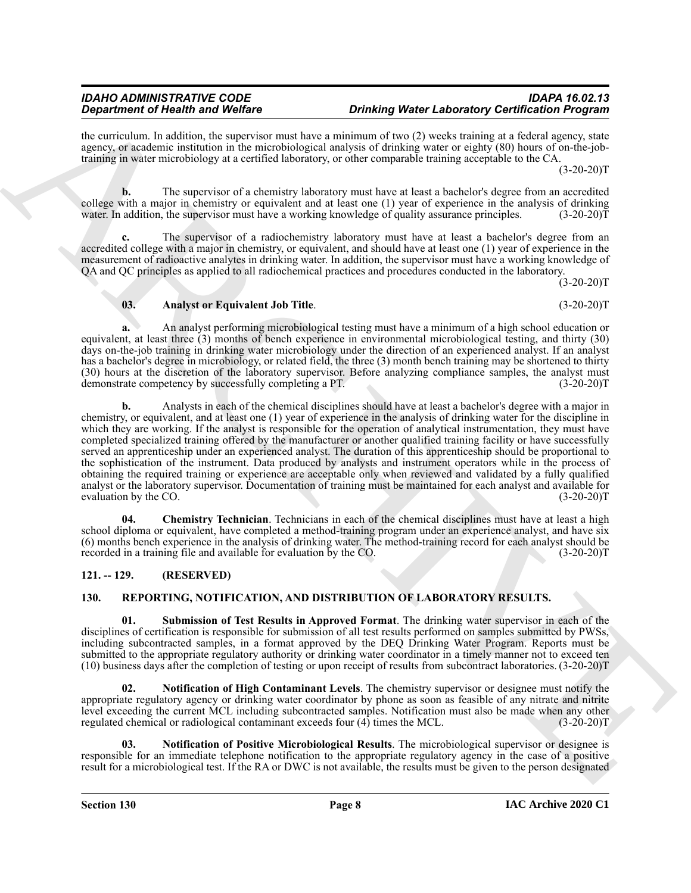the curriculum. In addition, the supervisor must have a minimum of two (2) weeks training at a federal agency, state agency, or academic institution in the microbiological analysis of drinking water or eighty (80) hours of on-the-jobtraining in water microbiology at a certified laboratory, or other comparable training acceptable to the CA.

 $(3-20-20)T$ 

**b.** The supervisor of a chemistry laboratory must have at least a bachelor's degree from an accredited college with a major in chemistry or equivalent and at least one (1) year of experience in the analysis of drinking water. In addition, the supervisor must have a working knowledge of quality assurance principles. (3-20-20)T

**c.** The supervisor of a radiochemistry laboratory must have at least a bachelor's degree from an accredited college with a major in chemistry, or equivalent, and should have at least one (1) year of experience in the measurement of radioactive analytes in drinking water. In addition, the supervisor must have a working knowledge of QA and QC principles as applied to all radiochemical practices and procedures conducted in the laboratory.

 $(3-20-20)$ T

#### <span id="page-7-2"></span>**03. Analyst or Equivalent Job Title**. (3-20-20)T

**a.** An analyst performing microbiological testing must have a minimum of a high school education or equivalent, at least three (3) months of bench experience in environmental microbiological testing, and thirty (30) days on-the-job training in drinking water microbiology under the direction of an experienced analyst. If an analyst has a bachelor's degree in microbiology, or related field, the three (3) month bench training may be shortened to thirty (30) hours at the discretion of the laboratory supervisor. Before analyzing compliance samples, the analyst must<br>demonstrate competency by successfully completing a PT. (3-20-20) demonstrate competency by successfully completing a PT.

Graduate of Health and Weller<br>
the vertical and Weller endows the structure and the structure of the Chinese Control and School and School and School and School and School and School and School and School and School and S **b.** Analysts in each of the chemical disciplines should have at least a bachelor's degree with a major in chemistry, or equivalent, and at least one (1) year of experience in the analysis of drinking water for the discipline in which they are working. If the analyst is responsible for the operation of analytical instrumentation, they must have completed specialized training offered by the manufacturer or another qualified training facility or have successfully served an apprenticeship under an experienced analyst. The duration of this apprenticeship should be proportional to the sophistication of the instrument. Data produced by analysts and instrument operators while in the process of obtaining the required training or experience are acceptable only when reviewed and validated by a fully qualified analyst or the laboratory supervisor. Documentation of training must be maintained for each analyst and available for evaluation by the CO.  $(3-20-20)T$ 

<span id="page-7-3"></span>**04. Chemistry Technician**. Technicians in each of the chemical disciplines must have at least a high school diploma or equivalent, have completed a method-training program under an experience analyst, and have six (6) months bench experience in the analysis of drinking water. The method-training record for each analyst should be recorded in a training file and available for evaluation by the CO. (3-20-20)T

#### <span id="page-7-0"></span>**121. -- 129. (RESERVED)**

#### <span id="page-7-7"></span><span id="page-7-4"></span><span id="page-7-1"></span>**130. REPORTING, NOTIFICATION, AND DISTRIBUTION OF LABORATORY RESULTS.**

**01. Submission of Test Results in Approved Format**. The drinking water supervisor in each of the disciplines of certification is responsible for submission of all test results performed on samples submitted by PWSs, including subcontracted samples, in a format approved by the DEQ Drinking Water Program. Reports must be submitted to the appropriate regulatory authority or drinking water coordinator in a timely manner not to exceed ten (10) business days after the completion of testing or upon receipt of results from subcontract laboratories. (3-20-20)T

<span id="page-7-5"></span>**02. Notification of High Contaminant Levels**. The chemistry supervisor or designee must notify the appropriate regulatory agency or drinking water coordinator by phone as soon as feasible of any nitrate and nitrite level exceeding the current MCL including subcontracted samples. Notification must also be made when any other regulated chemical or radiological contaminant exceeds four (4) times the MCL. (3-20-20)T

<span id="page-7-6"></span>**03. Notification of Positive Microbiological Results**. The microbiological supervisor or designee is responsible for an immediate telephone notification to the appropriate regulatory agency in the case of a positive result for a microbiological test. If the RA or DWC is not available, the results must be given to the person designated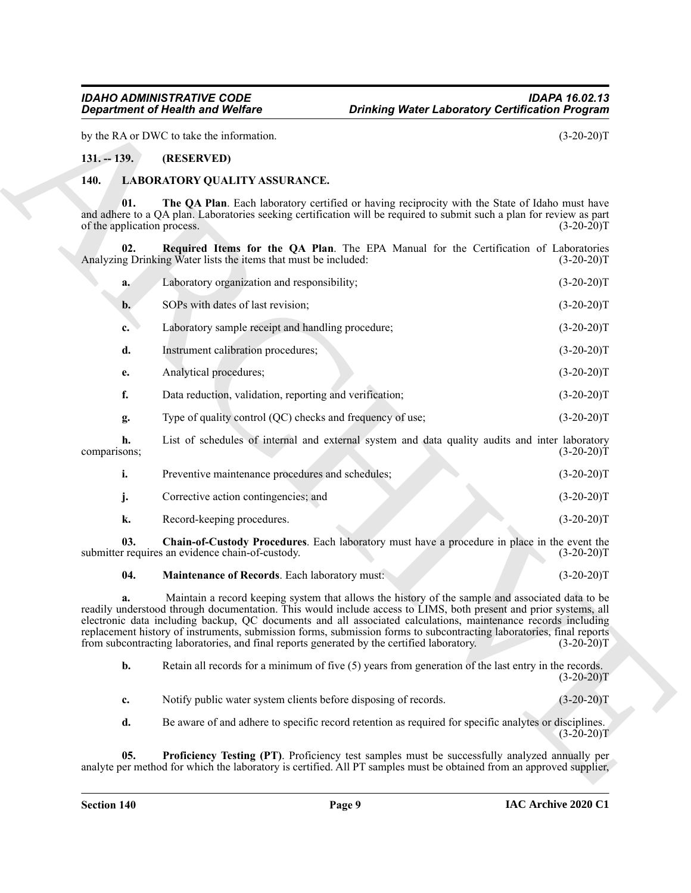#### <span id="page-8-0"></span>**131. -- 139. (RESERVED)**

#### <span id="page-8-7"></span><span id="page-8-6"></span><span id="page-8-2"></span><span id="page-8-1"></span>**140. LABORATORY QUALITY ASSURANCE.**

|                                    | <b>Department of Health and Welfare</b>                         | <b>Drinking Water Laboratory Certification Program</b>                                                                                                                                                                                                                                                                                                                                                                                                                                                                                                      |              |
|------------------------------------|-----------------------------------------------------------------|-------------------------------------------------------------------------------------------------------------------------------------------------------------------------------------------------------------------------------------------------------------------------------------------------------------------------------------------------------------------------------------------------------------------------------------------------------------------------------------------------------------------------------------------------------------|--------------|
|                                    | by the RA or DWC to take the information.                       |                                                                                                                                                                                                                                                                                                                                                                                                                                                                                                                                                             | $(3-20-20)T$ |
| $131. - 139.$                      | (RESERVED)                                                      |                                                                                                                                                                                                                                                                                                                                                                                                                                                                                                                                                             |              |
| 140.                               | LABORATORY QUALITY ASSURANCE.                                   |                                                                                                                                                                                                                                                                                                                                                                                                                                                                                                                                                             |              |
| 01.<br>of the application process. |                                                                 | The QA Plan. Each laboratory certified or having reciprocity with the State of Idaho must have<br>and adhere to a QA plan. Laboratories seeking certification will be required to submit such a plan for review as part                                                                                                                                                                                                                                                                                                                                     | $(3-20-20)T$ |
| 02.                                | Analyzing Drinking Water lists the items that must be included: | Required Items for the QA Plan. The EPA Manual for the Certification of Laboratories                                                                                                                                                                                                                                                                                                                                                                                                                                                                        | $(3-20-20)T$ |
| a.                                 | Laboratory organization and responsibility;                     |                                                                                                                                                                                                                                                                                                                                                                                                                                                                                                                                                             | $(3-20-20)T$ |
| $\mathbf{b}$ .                     | SOPs with dates of last revision;                               |                                                                                                                                                                                                                                                                                                                                                                                                                                                                                                                                                             | $(3-20-20)T$ |
| c.                                 | Laboratory sample receipt and handling procedure;               |                                                                                                                                                                                                                                                                                                                                                                                                                                                                                                                                                             | $(3-20-20)T$ |
| d.                                 | Instrument calibration procedures;                              |                                                                                                                                                                                                                                                                                                                                                                                                                                                                                                                                                             | $(3-20-20)T$ |
| е.                                 | Analytical procedures;                                          |                                                                                                                                                                                                                                                                                                                                                                                                                                                                                                                                                             | $(3-20-20)T$ |
| f.                                 | Data reduction, validation, reporting and verification;         |                                                                                                                                                                                                                                                                                                                                                                                                                                                                                                                                                             | $(3-20-20)T$ |
| g.                                 | Type of quality control (QC) checks and frequency of use;       |                                                                                                                                                                                                                                                                                                                                                                                                                                                                                                                                                             | $(3-20-20)T$ |
| h.<br>comparisons;                 |                                                                 | List of schedules of internal and external system and data quality audits and inter laboratory                                                                                                                                                                                                                                                                                                                                                                                                                                                              | $(3-20-20)T$ |
| i.                                 | Preventive maintenance procedures and schedules;                |                                                                                                                                                                                                                                                                                                                                                                                                                                                                                                                                                             | $(3-20-20)T$ |
| j.                                 | Corrective action contingencies; and                            |                                                                                                                                                                                                                                                                                                                                                                                                                                                                                                                                                             | $(3-20-20)T$ |
| k.                                 | Record-keeping procedures.                                      |                                                                                                                                                                                                                                                                                                                                                                                                                                                                                                                                                             | $(3-20-20)T$ |
| 03.                                | submitter requires an evidence chain-of-custody.                | Chain-of-Custody Procedures. Each laboratory must have a procedure in place in the event the                                                                                                                                                                                                                                                                                                                                                                                                                                                                | $(3-20-20)T$ |
| 04.                                | Maintenance of Records. Each laboratory must:                   |                                                                                                                                                                                                                                                                                                                                                                                                                                                                                                                                                             | $(3-20-20)T$ |
| a.                                 |                                                                 | Maintain a record keeping system that allows the history of the sample and associated data to be<br>readily understood through documentation. This would include access to LIMS, both present and prior systems, all<br>electronic data including backup, QC documents and all associated calculations, maintenance records including<br>replacement history of instruments, submission forms, submission forms to subcontracting laboratories, final reports<br>from subcontracting laboratories, and final reports generated by the certified laboratory. | $(3-20-20)T$ |
| b.                                 |                                                                 | Retain all records for a minimum of five $(5)$ years from generation of the last entry in the records.                                                                                                                                                                                                                                                                                                                                                                                                                                                      | $(3-20-20)T$ |
| c.                                 | Notify public water system clients before disposing of records. |                                                                                                                                                                                                                                                                                                                                                                                                                                                                                                                                                             | $(3-20-20)T$ |
| d.                                 |                                                                 | Be aware of and adhere to specific record retention as required for specific analytes or disciplines.                                                                                                                                                                                                                                                                                                                                                                                                                                                       | $(3-20-20)T$ |
| 05.                                |                                                                 | Proficiency Testing (PT). Proficiency test samples must be successfully analyzed annually per                                                                                                                                                                                                                                                                                                                                                                                                                                                               |              |

#### <span id="page-8-5"></span><span id="page-8-4"></span><span id="page-8-3"></span>**04. Maintenance of Records**. Each laboratory must: (3-20-20)T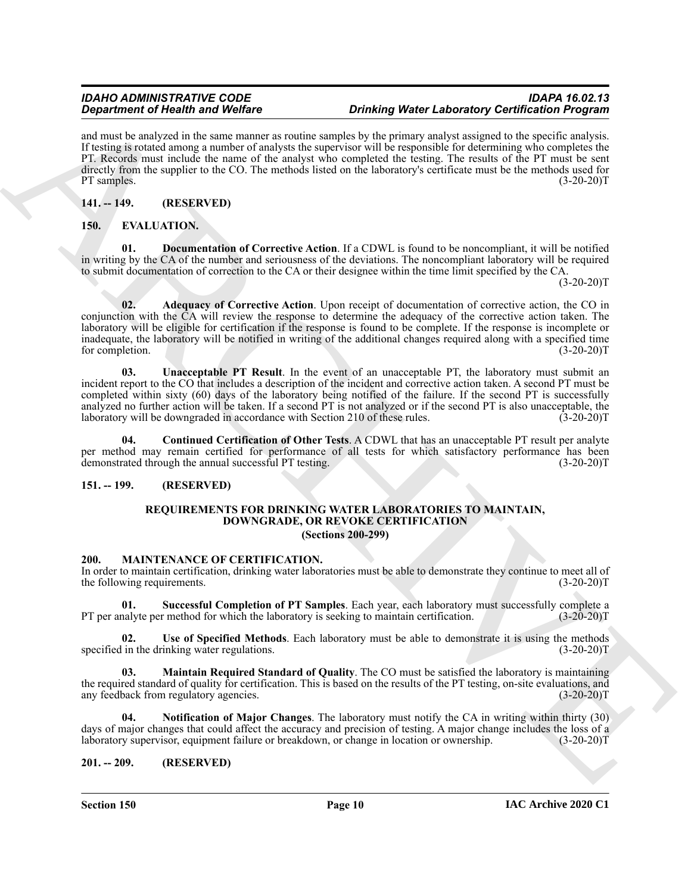and must be analyzed in the same manner as routine samples by the primary analyst assigned to the specific analysis. If testing is rotated among a number of analysts the supervisor will be responsible for determining who completes the PT. Records must include the name of the analyst who completed the testing. The results of the PT must be sent directly from the supplier to the CO. The methods listed on the laboratory's certificate must be the methods used for PT samples.  $(3-20-20)T$ 

#### <span id="page-9-0"></span>**141. -- 149. (RESERVED)**

#### <span id="page-9-9"></span><span id="page-9-6"></span><span id="page-9-1"></span>**150. EVALUATION.**

<span id="page-9-7"></span>**01. Documentation of Corrective Action**. If a CDWL is found to be noncompliant, it will be notified in writing by the CA of the number and seriousness of the deviations. The noncompliant laboratory will be required to submit documentation of correction to the CA or their designee within the time limit specified by the CA.

 $(3-20-20)T$ 

**Experimental New York Control of the Control of the Control of Control of Control of Control of Control of Control of Control of Control of Control of Control of Control of Control of Control of Control of Control of Con 02. Adequacy of Corrective Action**. Upon receipt of documentation of corrective action, the CO in conjunction with the CA will review the response to determine the adequacy of the corrective action taken. The laboratory will be eligible for certification if the response is found to be complete. If the response is incomplete or inadequate, the laboratory will be notified in writing of the additional changes required along with a specified time for completion. (3-20-20)T

<span id="page-9-10"></span>**03. Unacceptable PT Result**. In the event of an unacceptable PT, the laboratory must submit an incident report to the CO that includes a description of the incident and corrective action taken. A second PT must be completed within sixty (60) days of the laboratory being notified of the failure. If the second PT is successfully analyzed no further action will be taken. If a second PT is not analyzed or if the second PT is also unacceptable, the laboratory will be downgraded in accordance with Section 210 of these rules. (3-20-20)T

**04. Continued Certification of Other Tests**. A CDWL that has an unacceptable PT result per analyte per method may remain certified for performance of all tests for which satisfactory performance has been demonstrated through the annual successful PT testing. (3-20-20)T

#### <span id="page-9-3"></span><span id="page-9-2"></span>**151. -- 199. (RESERVED)**

#### <span id="page-9-16"></span><span id="page-9-8"></span>**REQUIREMENTS FOR DRINKING WATER LABORATORIES TO MAINTAIN, DOWNGRADE, OR REVOKE CERTIFICATION (Sections 200-299)**

#### <span id="page-9-11"></span><span id="page-9-4"></span>**200. MAINTENANCE OF CERTIFICATION.**

In order to maintain certification, drinking water laboratories must be able to demonstrate they continue to meet all of the following requirements. (3-20-20) the following requirements.

<span id="page-9-14"></span>**01. Successful Completion of PT Samples**. Each year, each laboratory must successfully complete a PT per analyte per method for which the laboratory is seeking to maintain certification.

<span id="page-9-15"></span>**02.** Use of Specified Methods. Each laboratory must be able to demonstrate it is using the methods in the drinking water regulations.  $(3-20-20)$ specified in the drinking water regulations.

<span id="page-9-12"></span>**03. Maintain Required Standard of Quality**. The CO must be satisfied the laboratory is maintaining the required standard of quality for certification. This is based on the results of the PT testing, on-site evaluations, and any feedback from regulatory agencies. (3-20-20) any feedback from regulatory agencies.

<span id="page-9-13"></span>**04. Notification of Major Changes**. The laboratory must notify the CA in writing within thirty (30) days of major changes that could affect the accuracy and precision of testing. A major change includes the loss of a laboratory supervisor, equipment failure or breakdown, or change in location or ownership. (3-20-20)T

#### <span id="page-9-5"></span>**201. -- 209. (RESERVED)**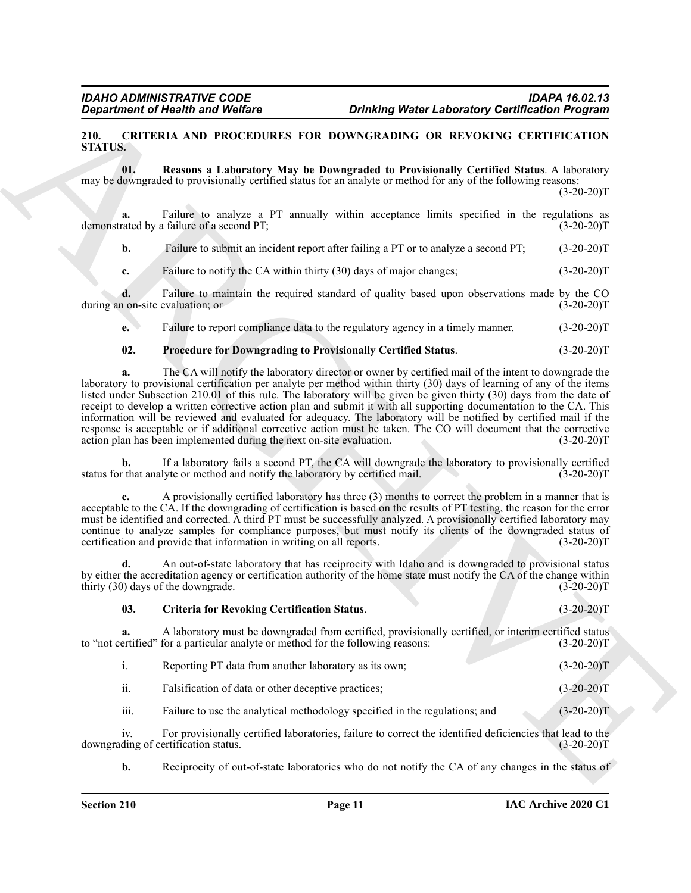#### <span id="page-10-1"></span><span id="page-10-0"></span>**210. CRITERIA AND PROCEDURES FOR DOWNGRADING OR REVOKING CERTIFICATION STATUS.**

<span id="page-10-4"></span>**01. Reasons a Laboratory May be Downgraded to Provisionally Certified Status**. A laboratory may be downgraded to provisionally certified status for an analyte or method for any of the following reasons:

 $(3-20-20)T$ 

**a.** Failure to analyze a PT annually within acceptance limits specified in the regulations as demonstrated by a failure of a second PT; (3-20-20)T

**b.** Failure to submit an incident report after failing a PT or to analyze a second PT; (3-20-20)T

**c.** Failure to notify the CA within thirty (30) days of major changes; (3-20-20)T

**d.** Failure to maintain the required standard of quality based upon observations made by the CO non-site evaluation; or (3-20-20) during an on-site evaluation; or

**e.** Failure to report compliance data to the regulatory agency in a timely manner.  $(3-20-20)T$ 

#### <span id="page-10-3"></span>**02. Procedure for Downgrading to Provisionally Certified Status**. (3-20-20)T

**Experiment of Nearth wave Wolfrey . During Were Lebenstoy Certification Program**<br> **EXPERIMENTS AND INSURENT SURVEY ON MOVEMUSE SURVEY (SURVEY AND MOVEME CHIRED ARCHIVES THE SURVEY ON MOVEME SURVEY CRIMINAL SCHEME SURVE a.** The CA will notify the laboratory director or owner by certified mail of the intent to downgrade the laboratory to provisional certification per analyte per method within thirty (30) days of learning of any of the items listed under Subsection 210.01 of this rule. The laboratory will be given be given thirty (30) days from the date of receipt to develop a written corrective action plan and submit it with all supporting documentation to the CA. This information will be reviewed and evaluated for adequacy. The laboratory will be notified by certified mail if the response is acceptable or if additional corrective action must be taken. The CO will document that the corrective action plan has been implemented during the next on-site evaluation. (3-20-20) action plan has been implemented during the next on-site evaluation.

**b.** If a laboratory fails a second PT, the CA will downgrade the laboratory to provisionally certified that analyte or method and notify the laboratory by certified mail. (3-20-20) status for that analyte or method and notify the laboratory by certified mail.

**c.** A provisionally certified laboratory has three (3) months to correct the problem in a manner that is acceptable to the CA. If the downgrading of certification is based on the results of PT testing, the reason for the error must be identified and corrected. A third PT must be successfully analyzed. A provisionally certified laboratory may continue to analyze samples for compliance purposes, but must notify its clients of the downgraded status of certification and provide that information in writing on all reports. (3-20-20) certification and provide that information in writing on all reports.

**d.** An out-of-state laboratory that has reciprocity with Idaho and is downgraded to provisional status by either the accreditation agency or certification authority of the home state must notify the CA of the change within thirty (30) days of the downgrade. (3-20-20)T

<span id="page-10-2"></span>**03. Criteria for Revoking Certification Status**. (3-20-20)T

**a.** A laboratory must be downgraded from certified, provisionally certified, or interim certified status ertified" for a particular analyte or method for the following reasons: (3-20-20) to "not certified" for a particular analyte or method for the following reasons:

| Reporting PT data from another laboratory as its own; | $(3-20-20)T$ |
|-------------------------------------------------------|--------------|
| Falsification of data or other deceptive practices;   | $(3-20-20)T$ |

iii. Failure to use the analytical methodology specified in the regulations; and (3-20-20)T

iv. For provisionally certified laboratories, failure to correct the identified deficiencies that lead to the ding of certification status. (3-20-20) downgrading of certification status.

**b.** Reciprocity of out-of-state laboratories who do not notify the CA of any changes in the status of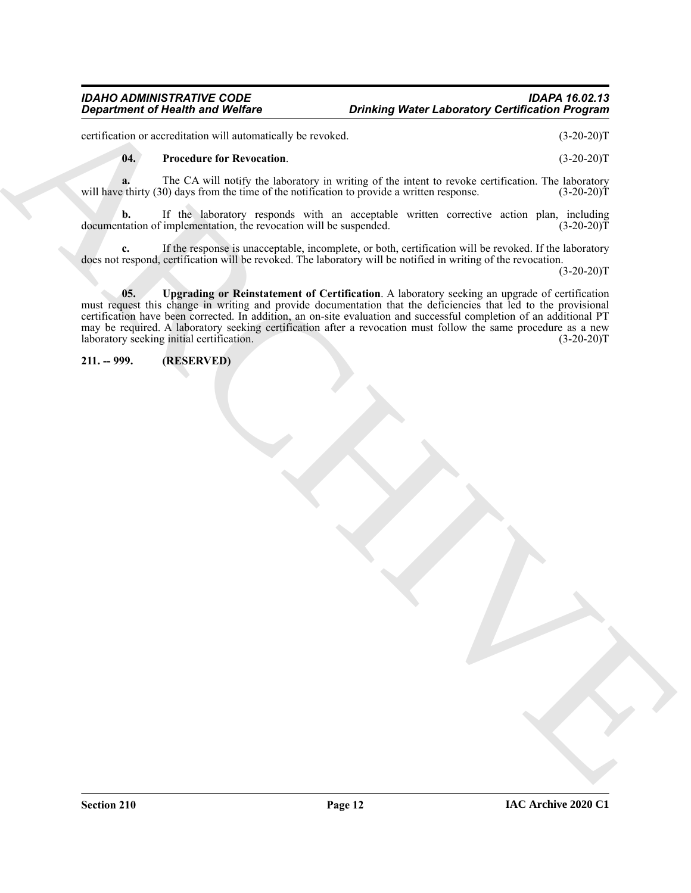#### *IDAHO ADMINISTRATIVE CODE IDAPA 16.02.13 Drinking Water Laboratory Certification Program*

certification or accreditation will automatically be revoked. (3-20-20)T

#### <span id="page-11-1"></span>**04. Procedure for Revocation**. (3-20-20)T

**a.** The CA will notify the laboratory in writing of the intent to revoke certification. The laboratory will have thirty (30) days from the time of the notification to provide a written response. (3-20-20)T

**b.** If the laboratory responds with an acceptable written corrective action plan, including documentation of implementation, the revocation will be suspended. (3-20-20)T

<span id="page-11-2"></span>**c.** If the response is unacceptable, incomplete, or both, certification will be revoked. If the laboratory does not respond, certification will be revoked. The laboratory will be notified in writing of the revocation.

 $(3-20-20)T$ 

**Department of Nearly Wolfer and Wolfer<br>
cytation of New York (2008)**<br>
cytation of the Constitute in the Keysterdam constraints of the limit is precise orificial in the limit of the Constraints<br>
will may the ry (3) the Co **05. Upgrading or Reinstatement of Certification**. A laboratory seeking an upgrade of certification must request this change in writing and provide documentation that the deficiencies that led to the provisional certification have been corrected. In addition, an on-site evaluation and successful completion of an additional PT may be required. A laboratory seeking certification after a revocation must follow the same procedure as a new laboratory seeking initial certification. (3-20-20)T

<span id="page-11-0"></span>**211. -- 999. (RESERVED)**